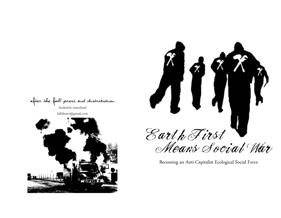after the fall press and distribution frederick, maryland

falldistro@gmail.com





Becoming an Anti-Capitalist Ecological Social Force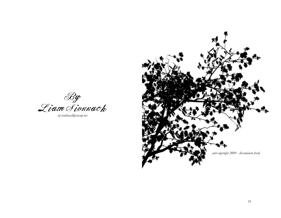

*ief-southeast@riseup.net*

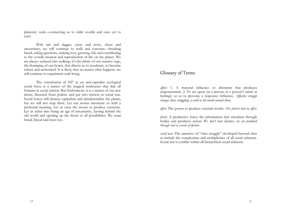planetary scale—connecting us to older worlds and ones yet to exist.

With ink and dagger, curse and irony, cheer and uncertainty, we will continue to walk and converse—breaking bread, asking questions, making love, growing old, and contributing to the overall creation and reproduction of life on the planet. We are always seduced into walking; it's the fabric of our creative urge, the thumping of our hearts, that directs us to accelerate, to become robust and networked. It is likely that no matter what happens, we will continue to experiment with living.

The constitution of EF! as an anti-capitalist ecological social force is a matter of the magical tendencies that link all humans as social critters. But furthermore, it is a matter of our new desire, liberated from politics and put into motion as social war. Social forces will destroy capitalism and deindustrialize the planet, but we will not stop there. Let our stories intoxicate us with a profound meaning. Let us seize the means to produce existence. Let us usher into being an age of uncertainty, leaving behind the old world and opening up the doors to all possibilities. We want bread, blood and roses too.

### Glossary of Terms

*affect:* 1. A material influence or alteration that produces empowerment. 2. To act upon (as a person or a person's mind or feelings) so as to provoke a response; influence. *Affective struggle changes those struggling, as well as the world around them.*

*effect:* The power to produce external results. *Her protest had no effect.*

*desire:* A productive force; the information that circulates through bodies and produces action. *We don't have* desires*, we are produced through and as vessels of* desire.

*social war:* The narrative of "class struggle" developed beyond class to include the complexities and multiplicities of all social relations. Social war is conflict within all hierarchical social relations.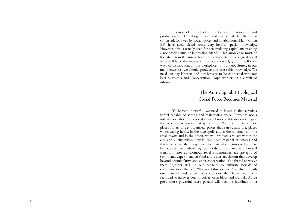Because of the existing distribution of resources and production of knowledge, food and water will be the most contested, followed by social spaces and inhabitations. Many within EF! have accumulated some very helpful special knowledge. However, this is usually used for accumulating capital, maintaining a nonprofit status or impressing friends. This knowledge must be liberated from its current form. An anti-capitalist, ecological social force will have the means to produce knowledge, and it will seize ways of distribution. In our workplaces, in our subcultures, in our many environs, we should produce and share this knowledge. We need our day laborers and our baristas to be connected with our beet-harvesters and Conservation Corps workers in a circuit of information.

## The Anti-Capitalist Ecological Social Force Becomes Material

To become powerful, we need to locate in that circuit a kernel capable of seizing and maintaining space. Revolt is not a military operation but a social affair. However, this does not negate the very real necessity that space plays. We need social spaces, places for us to get organized, places that can sustain life, places worth calling home. In the metropolis and in the mountains, in the small towns and in the desert, we will produce a village within the city and a city without walls. We need material structures and thread to weave them together. The material structures will, at first, be social centers, radical neighborhoods, appropriated land, but will transform into autonomous rebel communities, archipelagos of revolt, and experiments in food and water acquisition that develop beyond organic farms and water conservation. The thread to weave them together will be our capacity to cultivate portals of communication that say, "We need this, do you?" in rhythm with our material and existential conditions that have been only recorded so far over beer or coffee, or in blogs and journals. As we grow more powerful these portals will become faultlines on a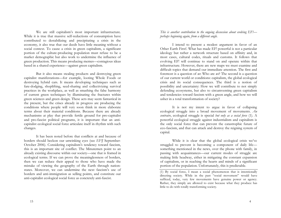We are still capitalism's most important infrastructure. While it is true that massive self-reductions of consumption have contributed to destabilizing and precipitating a crisis in the economy, it also true that our deeds have little meaning without a social context. To cause a crisis in green capitalism, a significant portion of the culture-producing population must refuse to be a market demographic but also work to undermine the influence of green production. This means producing memes—contagious ideas based in a shared experience—against green capitalism.

But it also means stealing products and destroying green capitalist manifestations—for example, looting Whole Foods or destroying hybrid cars. It means developing techniques such as fare-dodging, shoplifting, seed-sharing and collectivizing survival practices in the workplace, as well as smashing the false harmony of current green techniques by illuminating the fractures within green sciences and green design. These acts may seem fantastical in the present, but the crises already in progress are producing the conditions where people will very soon think in more elaborate terms about their material conditions. Because there are already mechanisms at play that provide fertile ground for pro-capitalist and pro-fascist political programs, it is important that an anticapitalist ecological social force articulate itself in rhythm with such changes.

It has been noted before that conflicts at and because of borders should beckon our unwinking eyes (see *EF!J* September-October 2006). Considering capitalism's tendency toward fascism, this is an important site of conflict. The Minutemen point to an already existing discourse within our society—one that is framed in ecological terms. If we can prove the meaninglessness of borders, then we can reduce their appeal to those who have made the mistake of viewing the geography of the Earth through nationstates. Moreover, we can undermine the next fascism's use of borders and anti-immigration as selling points, and constitute our anti-capitalist ecological social force as concretely anti-fascist.

*This is another contribution to the ongoing discussion about evolving EF! perhaps beginning again, from a different angle.*

I intend to present a modest argument in favor of an Other Earth First!. What has made EF! powerful is not a particular ideology but rather a network structure based on affinity and, in most cases, cultural codes, rituals and customs. It follows that evolving EF! will continue to stand on and operate within that infrastructure. However, there are new maps we must examine and difficult topics that demand our immediate attention. The first and foremost is a question of *we*: Who are *we*? The second is a question of our current world or conditions: capitalism, the global ecological crisis and its social consequences. The third is a notion of possibility and uncertainty: How we will contribute to not simply defending ecosystems, but also to circumventing green capitalism and tendencies toward fascism with a green angle, and how we will usher in a total transformation of society?

It is not my intent to argue in favor of collapsing ecological struggle into a broad movement of movements. *Au contraire*, ecological struggle is special *but only as a social force* (1). A powerful ecological struggle against industrialism and capitalism is the only social force that can prevent the catastrophic future of eco-fascism, and that can attack and destroy the reigning system of capital.

While it is clear that the global ecological crisis we've struggled to prevent is becoming a component of daily life something mentioned in the news, over the phone with family, in passing with acquaintances—our current modes of struggle are making little headway, either in mitigating the constant expansion of capitalism, or in reaching the hearts and minds of a significant portion of the population. Unfortunately, this is predictable.

<sup>(1)</sup> By social force, I mean a social phenomenon that is intentionally directing society. While in the past "social movement" would have sufficed, today, very few movements have genuine power or agency. Rather, they simply are allowed to exist because what they produce has little to do with totally transforming society.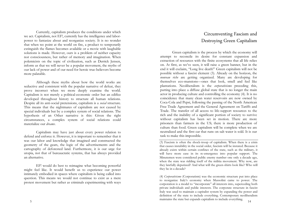Currently, capitalism produces the conditions under which we act. Capitalism, not EF!, currently has the intelligence and laborpower to fantasize about and reorganize society. It is no wonder that when we point at the world on fire, a product to temporarily extinguish the flames becomes available or a movie with laughable solutions is made. However, ours is a problem of neither capacity nor consciousness, but rather of memory and imagination. When polemicists on the topic of civilization, such as Derrick Jensen, inform us that we will never be a popular movement, the myths of our lack of power and of our need for heroic true-believers become more palatable.

Although these myths about how the world works are seductive and consistent with the popular narrative of defeat, they prove incorrect when we more deeply examine the world. Capitalism is not merely a political-economic order but an edifice developed throughout history to structure all human relations. Despite all its anti-social pretensions, capitalism is a *social* structure. This means that the nightmares of capitalism are not caused by special individuals but by a complex system of social relations. The hypothesis of an Other narrative is this: Given the right circumstances, a complex system of social relations could materialize our *dreams*.

Capitalism may have just about every power relation to defend and enforce it. However, it is important to remember that it was our labor and knowledge that imagined and constructed the geometry of the gears, the logic of the advertisements and the cartography of deforested land. Furthermore, it is our urge for utopia, not that of bureaucratic systems, that has always provided an alternative.

EF! would do best to reimagine what becoming powerful might feel like. It would benefit us to experience our power intimately embodied in spaces where capitalism is being called into question. This means we would not continue to exist as a mere protest movement but rather as criminals experimenting with ways

# Circumventing Fascism and Destroying Green Capitalism

Green capitalism is the process by which the economy will attempt to reconcile its desire for constant expansion and extraction of resources with the finite ecosystems that all life relies on. At first, as we've seen, it will raise a green banner, but in the end it will exclaim, "Long live death!" Green capitalism will not be possible without a fascist element (3). Already on the horizon, the *nouveau riche* are getting organized. Many are developing for themselves eco-mansions—ones that look, smell and feel like plantations. Neoliberalism is the *corporativismo* preceding this, putting into place a diffuse global state that is no longer the main actor in producing culture and controlling the economy (4). It is no coincidence that many clean water reservoirs are now owned by Coca-Cola and Pepsi, following the passing of the North American Free Trade Agreement and the General Agreement on Tariffs and Trade. The transfer of all access to life-support resources to the rich and the inability of a significant portion of society to survive without capitalism has been set in motion. There are more prisoners than farmers in the US; there is more production of culture than food. Green capitalism will be complete when we are neutralized and the first car that runs on salt water is sold. It is our task to make this impossible.

(3) Fascism is often the shock-troop of capitalism. When there is a crisis that causes instability in the social order, fascism will be instated. Because it already exists within certain confines of the state, such as the military, it will have more ease in its re-emergence into popular support. The Minutemen were considered public enemy number one only a decade ago, when the state was ridding itself of the militia movement. Why now, are they lawfully deputized? And what will the green-shirts look like? Who will they be in a decade?

(4) *Corporativismo* (Corporatism) was the economic structure put into place to reorganize Italy's economy when Mussolini came to power. The corporation is a model to "incorporate" all interests into, superceding both private individuals and public interests. The corporate structure in fascist Italy was used to maintain a capitalist system by expanding the power and definition of the state to include everything. Contemporary neoliberalism maintains the state but expands capitalism to include everything.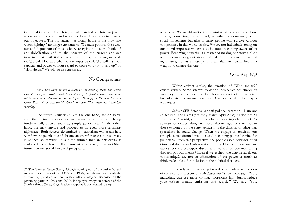interested in power. Therefore, we will manifest our force in places where we are powerful and where we have the capacity to achieve our objectives. The old saying, "A losing battle is the only one worth fighting," no longer enchants us. We must point to the burnout and depression of those who were trying to lose the battle of anti-globalization and to the banality of the current anti-war movement. We will riot when we can destroy everything we wish to. We will blockade when it interrupts capital. We will test our capacity and power without regard to those who say "hurry up" or "slow down." We will do as benefits us.

### No Compromise

*Those who cheer on the consequences of collapse, those who would foolishly sign peace treaties with pragmatism if it offered a more sustainable entrée, and those who will be the next Julia Butterfly or the next German Green Party* (2)*, we will politely show to the door. "No compromise" still has meaning.* 

The future is uncertain. On the one hand, life on Earth and the human species as we know it are already being fundamentally altered and may simply go extinct. On the other hand, life may survive and proceed to an even more terrifying nightmare. Both futures determined by capitalism will result in a world where people must fight one another for access to resources. It sounds so familiar. It is these futures that an anti-capitalist ecological social force will circumvent. Conversely, it is an Other future that our social force will precipitate.

to survive. We would notice that a similar fabric runs throughout society, connecting us not solely to other predominately white social movements but also to many people who survive without compromise in this world on fire. We are not individuals acting on our moral impulses; we are a social force becoming aware of its power. Becoming powerful is a matter of making our story a place to inhabit—making our story material. We dream in the face of nightmares, not as an escape into an alternate reality but as a weapon to change this one.

### Who Are We?

Within activist circles, the question of "Who are *we*?" causes vertigo. Some attempt to define themselves not simply by *what* they do but by *how* they do. This is an interesting divergence but ultimately a meaningless one. Can *we* be described by a technique?

Sadie's SFB defends her anti-political assertion. "I am not an activist," she claims (see *EF!J* March-April 2008). "I don't think I ever was. Arsonist, yes...." She alludes to an important point. As activists we express things to those who manage the state, not to those exploited by the state. Activism is the division of labor that specializes in social change. When we engage in activism, our struggle is transformed into "issues," becoming political capital for politicians. From this perspective, the poodle-assed behavior of Al Gore and the Sierra Club is not surprising. How will more militant tactics redefine ecological discourse if we are still communicating through political means? Even if we eschew the activist label, our communiqués are not an affirmation of our power as much as thinly veiled pleas for inclusion in the political discourse.

Presently, we are working toward only a radicalized version of the solutions presented in *An Inconvenient Truth*. Gore says, "You, individual, can use more compact florescent light bulbs, reduce your carbon dioxide emissions and recycle." We say, "You,

<sup>(2)</sup> The German Green Party, although coming out of the anti-nuke and anti-war movements of the 1970s and 1980s, has aligned itself with the extreme right, and actively suppresses radical ecological discourse. As the governing party in 1990s and 2000s, it deployed troops in defense of the North Atlantic Treaty Organization programs it was created to stop.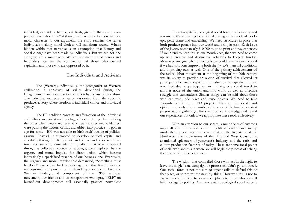individual, can ride a bicycle, eat trash, give up things and even punish those who don't." Although we have added a more militant moral character to our argument, the story remains the same: Individuals making moral choices will transform society. What's hidden within that narrative is an assumption that history and social change have been made by individuals. But we are not one story; we are a multiplicity. We are not made up of heroes and bystanders; we are the combination of those who created capitalism and those who are oppressed by it.

#### The Individual and Activism

The (Western) individual is the protagonist of Western civilization, a construct of values developed during the Enlightenment and a story set into motion by the rise of capitalism. The individual expresses a person disjointed from the social; it produces a story where freedom is individual choice and individual agency.

The EF! tradition contains an affirmation of the individual and utilizes an activist methodology of social change. Even during the times when rowdy rednecks who really appreciated wilderness were putting the fictions of Edward Abbey into practice—a golden age for some—EF! was not able to birth itself outside of politicsas-usual. Instead, it attempted to develop political capital and credibility through publicity stunts and public land proposals. Over time, the sociality, camaraderie and affect that were cultivated through a collective practice of sabotage, were replaced by the urgency and moral impulse for direct action, which became increasingly a specialized practice of our heroes alone. Eventually, the urgency and moral impulse that demanded, "Something must be done!" pushed us back to sabotage, but this time it was the underground component of a dwindling movement. Like the Weather Underground component of the 1960s anti-war movement, our friends and co-conspirators who spray "ELF" on burned-out developments still essentially practice nonviolent

An anti-capitalist, ecological social force needs money and resources. We are not yet connected through a network of hookups, petty crime and embezzling. We need structures in place that both produce portals into our world and bring in cash. Each issue of the *Journal* needs nearly \$10,000 to go to print and pay expenses. If we intend to keep this as our mouthpiece, then we need to come up with creative and destructive solutions to keep it funded. Moreover, imagine what other tools we could have at our disposal if we had solutions improving both the *Journal*'s material conditions and improving ours as well. One of the primary achievements of the radical labor movement at the beginning of the 20th century was its ability to provide an option of survival that allowed its participants to exist in capitalism but also against capitalism. If one was fired due to participation in a strike, one could travel to another node of the union and find work, as well as affective struggle and camaraderie. Similar things can be said about those who eat trash, ride bikes and reuse objects. We need to take seriously our input in EF! projects. They are the deeds and opinions not only of our humble editors nor of the loudest, craziest person at our gatherings. We can produce knowledge and reveal our experiences but only if we appropriate these tools collectively.

With an attention to our senses, a multiplicity of environs may spill out of the containers of our political identities and emerge inside the doors of nonprofits in the West, the free states of the Northwest, the publications of the East and West Coasts, the abandoned epicenters of yesteryear's industry, and the cafés and culture-production factories of today. These are some focal points of social war, and this is where we will begin the process of seizing the means to produce existence.

The wisdom that compelled those who act in the night to leave the single-issue campaign or protest shouldn't go unnoticed. Our social force is not the sum of urgent calls to defend this or that place, or to protest the next big thing. However, this is not to say we would do best to leave such places to those who are still held hostage by politics. An anti-capitalist ecological social force is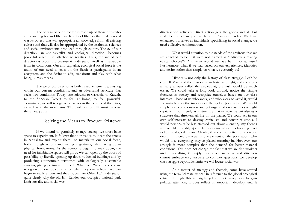The only *we* of our direction is made up of those of us who are searching for an Other *we*. It is this Other *we* that makes social war its object, that will appropriate all knowledge from all existing culture and that will also be appropriated by the aesthetics, sciences and social environments produced through culture. The *we* of our direction—an anti-capitalist and ecological direction—becomes powerful when it is attached to realities. Thus, the we of our direction is biocentric because it understands itself as inseparable from its conditions. Our anti-capitalist, ecological social force is the union of our need to exist on the Earth as participants in an ecosystem and the desire to edit, transform and play with what being human means.

The we of our direction is both a parallel structure, existing within our current conditions, and an adversarial structure that seeks new conditions. Today, one sojourns to Cascadia, to Katúah, to the Sonoran Desert to feel at home, to feel powerful. Tomorrow, we will recognize ourselves in the centers of the cities, as well as in the mountains. The evolution of EF! must traverse these new paths.

#### Seizing the Means to Produce Existence

If we intend to genuinely change society, we must have space to experiment. It follows that our task is to locate the cracks in capitalism and exploit them—to materialize our social force, both through actions and insurgent gestures, while laying down physical foundations. As the economy begins to melt down, the need for inhabitable spaces will grow. We can open up the doors of possibility by literally opening up doors to locked buildings and by producing autonomous territories with ecologically sustainable systems, giving permaculture teeth. When our "nice" projects are recognized more objectively for what they can achieve, we can begin to really understand their power. An Other EF! understands quite clearly why the old EF! Rendezvous occupied national park land: sociality and social war.

direct-action activism. Direct action gets the goods and all, but shall the rest of us just watch or fill "support" roles? We have exhausted ourselves as individuals specializing in social change; we need collective confrontation.

What would attention to the needs of the environs that we are attached to be if it were not framed as "individuals making ethical choices"? And what would our we be if not activists? Furthermore, what if we was based on our experiences, identities and desire, rather than simply on what we currently do?

History is not only the history of class struggle. Let's be clear: If Marx and the classical anarchists were right, and there was an easy answer called the proletariat, our task would be much easier. We could take a long look around, notice the simple fractures in society and recognize ourselves based on our class interests. Those of us who work, and who work to avoid it, would see ourselves as the majority of the global population. We could simply raise consciousness and get organized on class lines to fight capitalism, not merely as a structure that exploits us but also as a structure that threatens all life on the planet. We could act in our own self-interests to destroy capitalism and construct utopia. I would personally be less stressed out about alienating my friends and would probably spend far less time at cafés obsessing over radical ecological theory. Clearly, it would be better for everyone except an incredibly wealthy one percent of the population, who would lose everything they've placed meaning in. However, our struggle is more complex than the demand for better material conditions. This does not change the fact that we are also workers under capitalism, it simply means our narrative and direction cannot embrace easy answers to complex questions. To develop class struggle beyond its limits we will locate social war.

As a matter of strategy and rhetoric, some have started using the term "climate justice" in reference to the global ecological crisis. Although this is largely yet another savvy way to gain political attention, it does reflect an important development. It